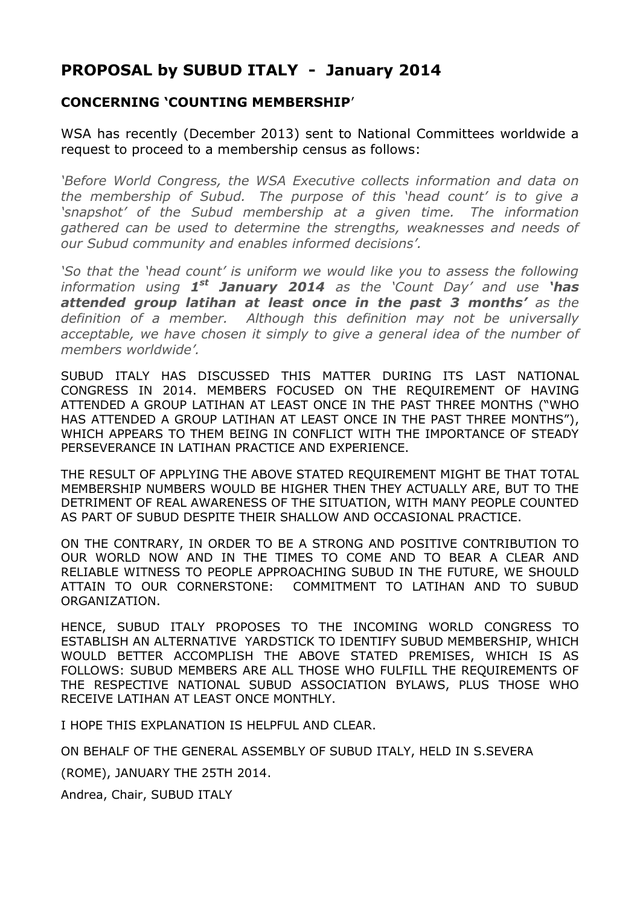## **PROPOSAL by SUBUD ITALY - January 2014**

#### **CONCERNING 'COUNTING MEMBERSHIP**'

WSA has recently (December 2013) sent to National Committees worldwide a request to proceed to a membership census as follows:

*'Before World Congress, the WSA Executive collects information and data on the membership of Subud. The purpose of this 'head count' is to give a 'snapshot' of the Subud membership at a given time. The information gathered can be used to determine the strengths, weaknesses and needs of our Subud community and enables informed decisions'.*

*'So that the 'head count' is uniform we would like you to assess the following information using 1 st January 2014 as the 'Count Day' and use 'has attended group latihan at least once in the past 3 months' as the definition of a member. Although this definition may not be universally*  acceptable, we have chosen it simply to give a general idea of the number of *members worldwide'.*

SUBUD ITALY HAS DISCUSSED THIS MATTER DURING ITS LAST NATIONAL CONGRESS IN 2014. MEMBERS FOCUSED ON THE REQUIREMENT OF HAVING ATTENDED A GROUP LATIHAN AT LEAST ONCE IN THE PAST THREE MONTHS ("WHO HAS ATTENDED A GROUP LATIHAN AT LEAST ONCE IN THE PAST THREE MONTHS"), WHICH APPEARS TO THEM BEING IN CONFLICT WITH THE IMPORTANCE OF STEADY PERSEVERANCE IN LATIHAN PRACTICE AND EXPERIENCE.

THE RESULT OF APPLYING THE ABOVE STATED REQUIREMENT MIGHT BE THAT TOTAL MEMBERSHIP NUMBERS WOULD BE HIGHER THEN THEY ACTUALLY ARE, BUT TO THE DETRIMENT OF REAL AWARENESS OF THE SITUATION, WITH MANY PEOPLE COUNTED AS PART OF SUBUD DESPITE THEIR SHALLOW AND OCCASIONAL PRACTICE.

ON THE CONTRARY, IN ORDER TO BE A STRONG AND POSITIVE CONTRIBUTION TO OUR WORLD NOW AND IN THE TIMES TO COME AND TO BEAR A CLEAR AND RELIABLE WITNESS TO PEOPLE APPROACHING SUBUD IN THE FUTURE, WE SHOULD ATTAIN TO OUR CORNERSTONE: COMMITMENT TO LATIHAN AND TO SUBUD ORGANIZATION.

HENCE, SUBUD ITALY PROPOSES TO THE INCOMING WORLD CONGRESS TO ESTABLISH AN ALTERNATIVE YARDSTICK TO IDENTIFY SUBUD MEMBERSHIP, WHICH WOULD BETTER ACCOMPLISH THE ABOVE STATED PREMISES, WHICH IS AS FOLLOWS: SUBUD MEMBERS ARE ALL THOSE WHO FULFILL THE REQUIREMENTS OF THE RESPECTIVE NATIONAL SUBUD ASSOCIATION BYLAWS, PLUS THOSE WHO RECEIVE LATIHAN AT LEAST ONCE MONTHLY.

I HOPE THIS EXPLANATION IS HELPELIL AND CLEAR.

ON BEHALF OF THE GENERAL ASSEMBLY OF SUBUD ITALY, HELD IN S.SEVERA

(ROME), JANUARY THE 25TH 2014.

Andrea, Chair, SUBUD ITALY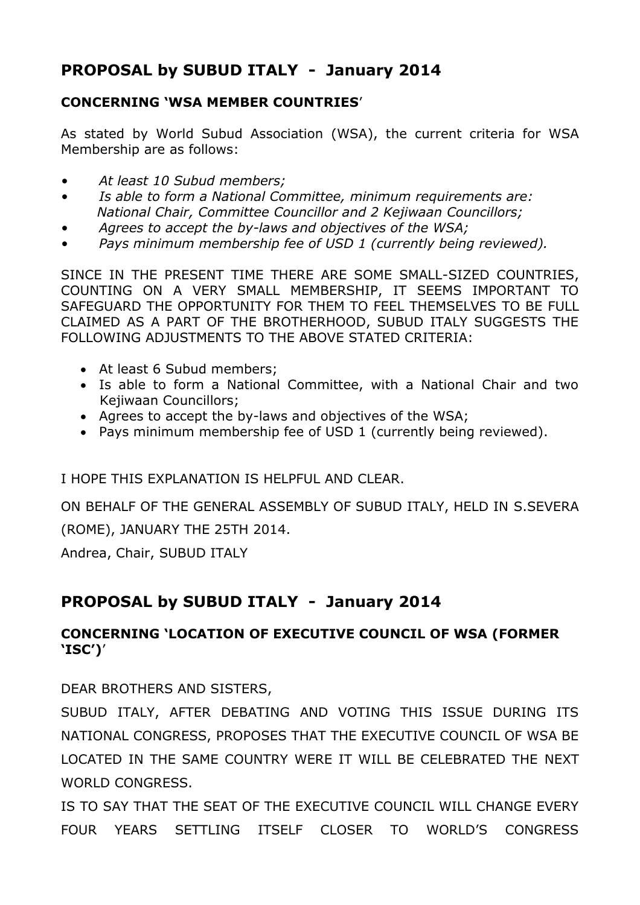# **PROPOSAL by SUBUD ITALY - January 2014**

#### **CONCERNING 'WSA MEMBER COUNTRIES**'

As stated by World Subud Association (WSA), the current criteria for WSA Membership are as follows:

- *• At least 10 Subud members;*
- *• Is able to form a National Committee, minimum requirements are: National Chair, Committee Councillor and 2 Kejiwaan Councillors;*
- *• Agrees to accept the by-laws and objectives of the WSA;*
- *• Pays minimum membership fee of USD 1 (currently being reviewed).*

SINCE IN THE PRESENT TIME THERE ARE SOME SMALL-SIZED COUNTRIES, COUNTING ON A VERY SMALL MEMBERSHIP, IT SEEMS IMPORTANT TO SAFEGUARD THE OPPORTUNITY FOR THEM TO FEEL THEMSELVES TO BE FULL CLAIMED AS A PART OF THE BROTHERHOOD, SUBUD ITALY SUGGESTS THE FOLLOWING ADJUSTMENTS TO THE ABOVE STATED CRITERIA:

- At least 6 Subud members;
- Is able to form a National Committee, with a National Chair and two Kejiwaan Councillors;
- Agrees to accept the by-laws and objectives of the WSA;
- Pays minimum membership fee of USD 1 (currently being reviewed).

I HOPE THIS EXPLANATION IS HELPFUL AND CLEAR.

ON BEHALF OF THE GENERAL ASSEMBLY OF SUBUD ITALY, HELD IN S.SEVERA (ROME), JANUARY THE 25TH 2014.

Andrea, Chair, SUBUD ITALY

## **PROPOSAL by SUBUD ITALY - January 2014**

### **CONCERNING 'LOCATION OF EXECUTIVE COUNCIL OF WSA (FORMER 'ISC')**'

DEAR BROTHERS AND SISTERS,

SUBUD ITALY, AFTER DEBATING AND VOTING THIS ISSUE DURING ITS NATIONAL CONGRESS, PROPOSES THAT THE EXECUTIVE COUNCIL OF WSA BE LOCATED IN THE SAME COUNTRY WERE IT WILL BE CELEBRATED THE NEXT WORLD CONGRESS.

IS TO SAY THAT THE SEAT OF THE EXECUTIVE COUNCIL WILL CHANGE EVERY FOUR YEARS SETTLING ITSELF CLOSER TO WORLD'S CONGRESS